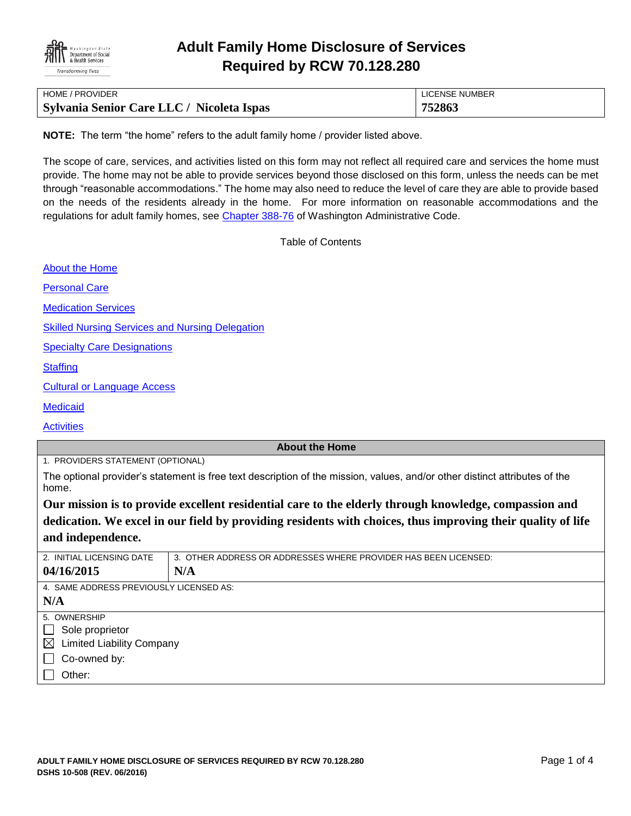

| HOME / PROVIDER                           | LICENSE NUMBER |
|-------------------------------------------|----------------|
| Sylvania Senior Care LLC / Nicoleta Ispas | 752863         |

**NOTE:** The term "the home" refers to the adult family home / provider listed above.

The scope of care, services, and activities listed on this form may not reflect all required care and services the home must provide. The home may not be able to provide services beyond those disclosed on this form, unless the needs can be met through "reasonable accommodations." The home may also need to reduce the level of care they are able to provide based on the needs of the residents already in the home. For more information on reasonable accommodations and the regulations for adult family homes, see [Chapter 388-76](http://apps.leg.wa.gov/WAC/default.aspx?cite=388-76) of Washington Administrative Code.

Table of Contents

[About the Home](#page-0-0)

[Personal Care](#page-1-0)

[Medication Services](#page-1-1)

[Skilled Nursing Services and Nursing Delegation](#page-2-0)

[Specialty Care Designations](#page-2-1)

**[Staffing](#page-2-2)** 

[Cultural or Language Access](#page-3-0)

**[Medicaid](#page-3-1)** 

**[Activities](#page-3-2)** 

### <span id="page-0-0"></span>**About the Home**

1. PROVIDERS STATEMENT (OPTIONAL)

The optional provider's statement is free text description of the mission, values, and/or other distinct attributes of the home.

**Our mission is to provide excellent residential care to the elderly through knowledge, compassion and dedication. We excel in our field by providing residents with choices, thus improving their quality of life and independence.** 

| 2. INITIAL LICENSING DATE               | 3. OTHER ADDRESS OR ADDRESSES WHERE PROVIDER HAS BEEN LICENSED: |  |  |  |  |
|-----------------------------------------|-----------------------------------------------------------------|--|--|--|--|
| 04/16/2015                              | N/A                                                             |  |  |  |  |
| 4. SAME ADDRESS PREVIOUSLY LICENSED AS: |                                                                 |  |  |  |  |
| N/A                                     |                                                                 |  |  |  |  |
| 5. OWNERSHIP                            |                                                                 |  |  |  |  |
| Sole proprietor<br>$\blacksquare$       |                                                                 |  |  |  |  |
| $\boxtimes$ Limited Liability Company   |                                                                 |  |  |  |  |
| Co-owned by:<br>$\blacksquare$          |                                                                 |  |  |  |  |
| Other:                                  |                                                                 |  |  |  |  |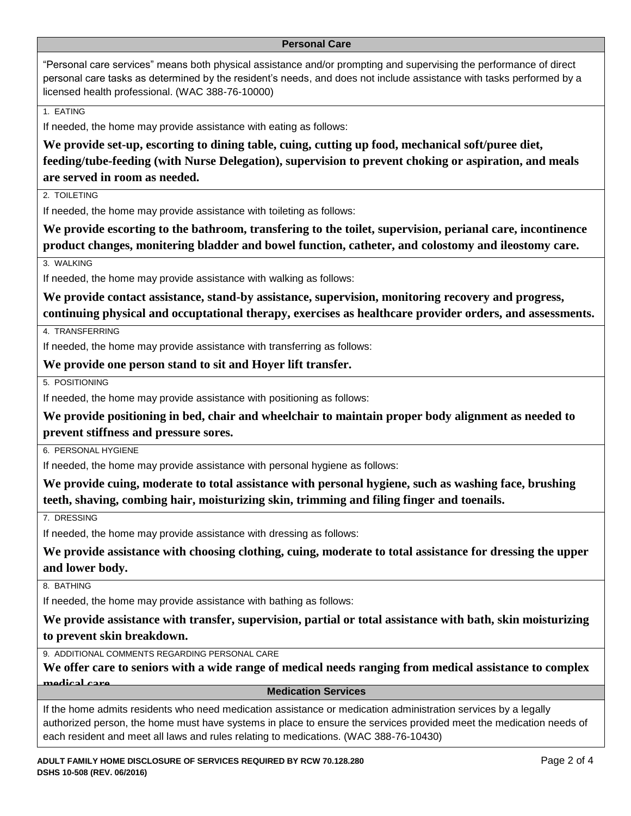#### <span id="page-1-0"></span>**Personal Care**

"Personal care services" means both physical assistance and/or prompting and supervising the performance of direct personal care tasks as determined by the resident's needs, and does not include assistance with tasks performed by a licensed health professional. (WAC 388-76-10000)

1. EATING

If needed, the home may provide assistance with eating as follows:

**We provide set-up, escorting to dining table, cuing, cutting up food, mechanical soft/puree diet, feeding/tube-feeding (with Nurse Delegation), supervision to prevent choking or aspiration, and meals are served in room as needed.**

2. TOIL FTING

If needed, the home may provide assistance with toileting as follows:

**We provide escorting to the bathroom, transfering to the toilet, supervision, perianal care, incontinence product changes, monitering bladder and bowel function, catheter, and colostomy and ileostomy care.** 

3. WALKING

If needed, the home may provide assistance with walking as follows:

**We provide contact assistance, stand-by assistance, supervision, monitoring recovery and progress, continuing physical and occuptational therapy, exercises as healthcare provider orders, and assessments.**

4. TRANSFERRING

If needed, the home may provide assistance with transferring as follows:

**We provide one person stand to sit and Hoyer lift transfer.**

5. POSITIONING

If needed, the home may provide assistance with positioning as follows:

**We provide positioning in bed, chair and wheelchair to maintain proper body alignment as needed to prevent stiffness and pressure sores.**

6. PERSONAL HYGIENE

If needed, the home may provide assistance with personal hygiene as follows:

**We provide cuing, moderate to total assistance with personal hygiene, such as washing face, brushing teeth, shaving, combing hair, moisturizing skin, trimming and filing finger and toenails.**

7. DRESSING

If needed, the home may provide assistance with dressing as follows:

**We provide assistance with choosing clothing, cuing, moderate to total assistance for dressing the upper and lower body.**

8. BATHING

If needed, the home may provide assistance with bathing as follows:

**We provide assistance with transfer, supervision, partial or total assistance with bath, skin moisturizing to prevent skin breakdown.**

9. ADDITIONAL COMMENTS REGARDING PERSONAL CARE

**We offer care to seniors with a wide range of medical needs ranging from medical assistance to complex medical care. Medication Services**

<span id="page-1-1"></span>

If the home admits residents who need medication assistance or medication administration services by a legally authorized person, the home must have systems in place to ensure the services provided meet the medication needs of each resident and meet all laws and rules relating to medications. (WAC 388-76-10430)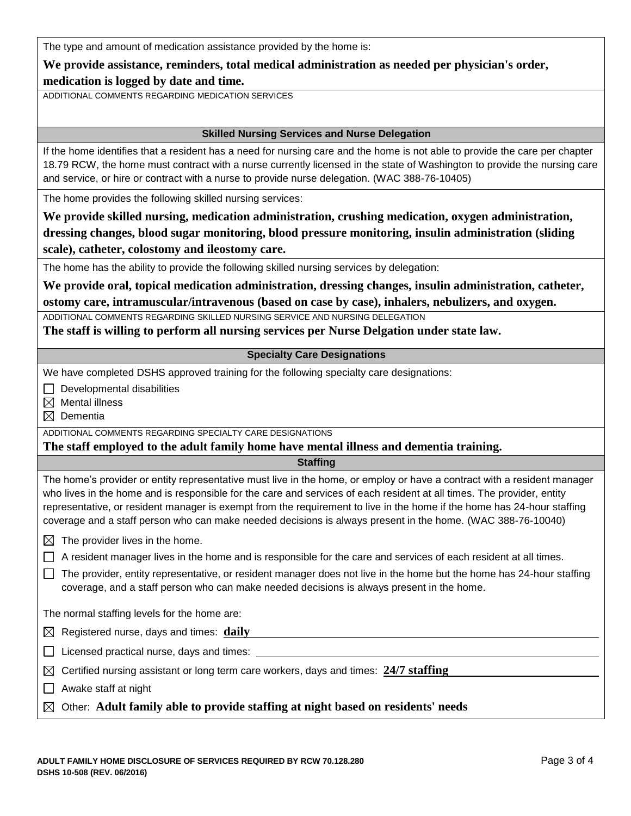| We provide assistance, reminders, total medical administration as needed per physician's order, |  |  |  |
|-------------------------------------------------------------------------------------------------|--|--|--|
|                                                                                                 |  |  |  |

**medication is logged by date and time.**

ADDITIONAL COMMENTS REGARDING MEDICATION SERVICES

## <span id="page-2-0"></span>**Skilled Nursing Services and Nurse Delegation**

If the home identifies that a resident has a need for nursing care and the home is not able to provide the care per chapter 18.79 RCW, the home must contract with a nurse currently licensed in the state of Washington to provide the nursing care and service, or hire or contract with a nurse to provide nurse delegation. (WAC 388-76-10405)

The home provides the following skilled nursing services:

**We provide skilled nursing, medication administration, crushing medication, oxygen administration, dressing changes, blood sugar monitoring, blood pressure monitoring, insulin administration (sliding scale), catheter, colostomy and ileostomy care.**

The home has the ability to provide the following skilled nursing services by delegation:

**We provide oral, topical medication administration, dressing changes, insulin administration, catheter, ostomy care, intramuscular/intravenous (based on case by case), inhalers, nebulizers, and oxygen.**

ADDITIONAL COMMENTS REGARDING SKILLED NURSING SERVICE AND NURSING DELEGATION

**The staff is willing to perform all nursing services per Nurse Delgation under state law.** 

## <span id="page-2-1"></span>**Specialty Care Designations**

We have completed DSHS approved training for the following specialty care designations:

 $\Box$  Developmental disabilities

 $\boxtimes$  Mental illness

Dementia

ADDITIONAL COMMENTS REGARDING SPECIALTY CARE DESIGNATIONS

**The staff employed to the adult family home have mental illness and dementia training.**

<span id="page-2-2"></span>**Staffing**

The home's provider or entity representative must live in the home, or employ or have a contract with a resident manager who lives in the home and is responsible for the care and services of each resident at all times. The provider, entity representative, or resident manager is exempt from the requirement to live in the home if the home has 24-hour staffing coverage and a staff person who can make needed decisions is always present in the home. (WAC 388-76-10040)

 $\boxtimes$  The provider lives in the home.

 $\Box$  A resident manager lives in the home and is responsible for the care and services of each resident at all times.

 $\Box$  The provider, entity representative, or resident manager does not live in the home but the home has 24-hour staffing coverage, and a staff person who can make needed decisions is always present in the home.

The normal staffing levels for the home are:

Registered nurse, days and times: **daily**

 $\Box$  Licensed practical nurse, days and times:  $\Box$ 

| $\boxtimes$ Certified nursing assistant or long term care workers, days and times: $24/7$ staffing |  |
|----------------------------------------------------------------------------------------------------|--|
|                                                                                                    |  |

- $\Box$  Awake staff at night
- Other: **Adult family able to provide staffing at night based on residents' needs**